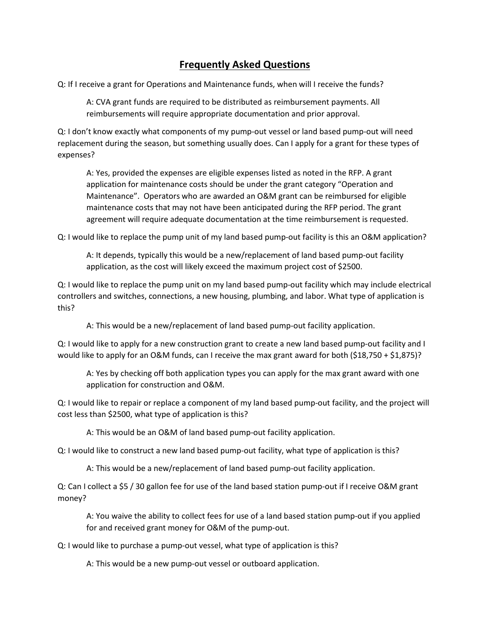## **Frequently Asked Questions**

Q: If I receive a grant for Operations and Maintenance funds, when will I receive the funds?

A: CVA grant funds are required to be distributed as reimbursement payments. All reimbursements will require appropriate documentation and prior approval.

Q: I don't know exactly what components of my pump-out vessel or land based pump-out will need replacement during the season, but something usually does. Can I apply for a grant for these types of expenses?

A: Yes, provided the expenses are eligible expenses listed as noted in the RFP. A grant application for maintenance costs should be under the grant category "Operation and Maintenance". Operators who are awarded an O&M grant can be reimbursed for eligible maintenance costs that may not have been anticipated during the RFP period. The grant agreement will require adequate documentation at the time reimbursement is requested.

Q: I would like to replace the pump unit of my land based pump-out facility is this an O&M application?

A: It depends, typically this would be a new/replacement of land based pump-out facility application, as the cost will likely exceed the maximum project cost of \$2500.

Q: I would like to replace the pump unit on my land based pump-out facility which may include electrical controllers and switches, connections, a new housing, plumbing, and labor. What type of application is this?

A: This would be a new/replacement of land based pump-out facility application.

Q: I would like to apply for a new construction grant to create a new land based pump-out facility and I would like to apply for an O&M funds, can I receive the max grant award for both (\$18,750 + \$1,875)?

A: Yes by checking off both application types you can apply for the max grant award with one application for construction and O&M.

Q: I would like to repair or replace a component of my land based pump-out facility, and the project will cost less than \$2500, what type of application is this?

A: This would be an O&M of land based pump-out facility application.

Q: I would like to construct a new land based pump-out facility, what type of application is this?

A: This would be a new/replacement of land based pump-out facility application.

Q: Can I collect a \$5 / 30 gallon fee for use of the land based station pump-out if I receive O&M grant money?

A: You waive the ability to collect fees for use of a land based station pump-out if you applied for and received grant money for O&M of the pump-out.

Q: I would like to purchase a pump-out vessel, what type of application is this?

A: This would be a new pump-out vessel or outboard application.